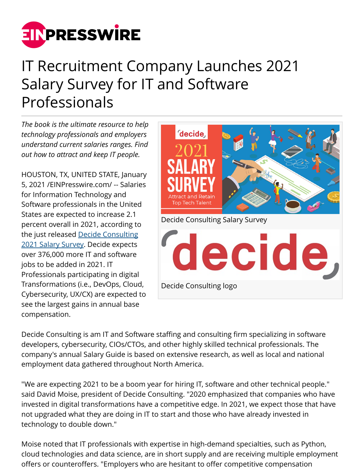

## IT Recruitment Company Launches 2021 Salary Survey for IT and Software Professionals

*The book is the ultimate resource to help technology professionals and employers understand current salaries ranges. Find out how to attract and keep IT people.*

HOUSTON, TX, UNITED STATE, January 5, 2021 /[EINPresswire.com/](http://www.einpresswire.com) -- Salaries for Information Technology and Software professionals in the United States are expected to increase 2.1 percent overall in 2021, according to the just released [Decide Consulting](https://decideconsulting.com/) [2021 Salary Survey.](https://decideconsulting.com/2021-it-salary-survey/) Decide expects over 376,000 more IT and software jobs to be added in 2021. IT Professionals participating in digital Transformations (i.e., DevOps, Cloud, Cybersecurity, UX/CX) are expected to see the largest gains in annual base compensation.



Decide Consulting is am IT and Software staffing and consulting firm specializing in software developers, cybersecurity, CIOs/CTOs, and other highly skilled technical professionals. The company's annual Salary Guide is based on extensive research, as well as local and national employment data gathered throughout North America.

"We are expecting 2021 to be a boom year for hiring IT, software and other technical people." said David Moise, president of Decide Consulting. "2020 emphasized that companies who have invested in digital transformations have a competitive edge. In 2021, we expect those that have not upgraded what they are doing in IT to start and those who have already invested in technology to double down."

Moise noted that IT professionals with expertise in high-demand specialties, such as Python, cloud technologies and data science, are in short supply and are receiving multiple employment offers or counteroffers. "Employers who are hesitant to offer competitive compensation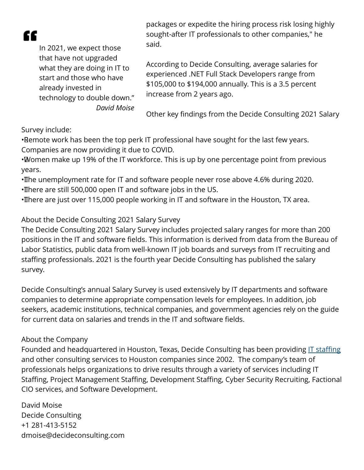æ

In 2021, we expect those that have not upgraded what they are doing in IT to start and those who have already invested in technology to double down." *David Moise*

packages or expedite the hiring process risk losing highly sought-after IT professionals to other companies," he said.

According to Decide Consulting, average salaries for experienced .NET Full Stack Developers range from \$105,000 to \$194,000 annually. This is a 3.5 percent increase from 2 years ago.

Other key findings from the Decide Consulting 2021 Salary

Survey include:

• Remote work has been the top perk IT professional have sought for the last few years. Companies are now providing it due to COVID.

• Women make up 19% of the IT workforce. This is up by one percentage point from previous years.

• The unemployment rate for IT and software people never rose above 4.6% during 2020. • There are still 500,000 open IT and software jobs in the US.

• There are just over 115,000 people working in IT and software in the Houston, TX area.

## About the Decide Consulting 2021 Salary Survey

The Decide Consulting 2021 Salary Survey includes projected salary ranges for more than 200 positions in the IT and software fields. This information is derived from data from the Bureau of Labor Statistics, public data from well-known IT job boards and surveys from IT recruiting and staffing professionals. 2021 is the fourth year Decide Consulting has published the salary survey.

Decide Consulting's annual Salary Survey is used extensively by IT departments and software companies to determine appropriate compensation levels for employees. In addition, job seekers, academic institutions, technical companies, and government agencies rely on the guide for current data on salaries and trends in the IT and software fields.

## About the Company

Founded and headquartered in Houston, Texas, Decide Consulting has been providing [IT staffing](https://decideconsulting.com/services/it-staffing/) and other consulting services to Houston companies since 2002. The company's team of professionals helps organizations to drive results through a variety of services including IT Staffing, Project Management Staffing, Development Staffing, Cyber Security Recruiting, Factional CIO services, and Software Development.

David Moise Decide Consulting +1 281-413-5152 dmoise@decideconsulting.com